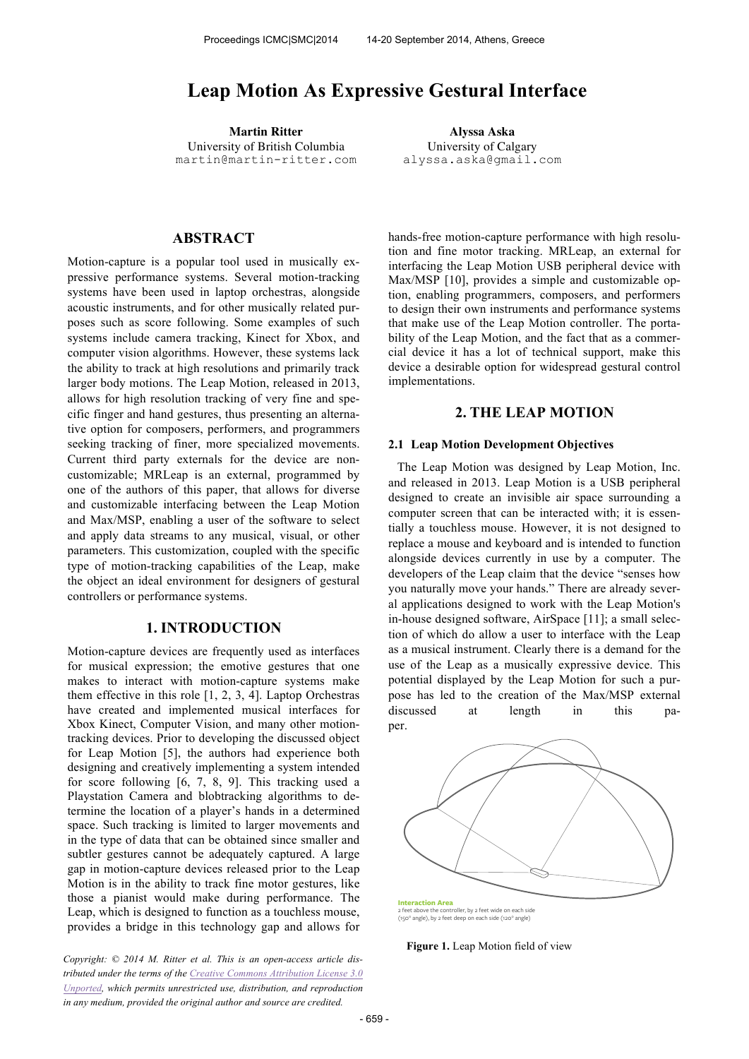# **Leap Motion As Expressive Gestural Interface**

**Martin Ritter Alyssa Aska** University of British Columbia martin@martin-ritter.com

University of Calgary alyssa.aska@gmail.com

## **ABSTRACT**

Motion-capture is a popular tool used in musically expressive performance systems. Several motion-tracking systems have been used in laptop orchestras, alongside acoustic instruments, and for other musically related purposes such as score following. Some examples of such systems include camera tracking, Kinect for Xbox, and computer vision algorithms. However, these systems lack the ability to track at high resolutions and primarily track larger body motions. The Leap Motion, released in 2013, allows for high resolution tracking of very fine and specific finger and hand gestures, thus presenting an alternative option for composers, performers, and programmers seeking tracking of finer, more specialized movements. Current third party externals for the device are noncustomizable; MRLeap is an external, programmed by one of the authors of this paper, that allows for diverse and customizable interfacing between the Leap Motion and Max/MSP, enabling a user of the software to select and apply data streams to any musical, visual, or other parameters. This customization, coupled with the specific type of motion-tracking capabilities of the Leap, make the object an ideal environment for designers of gestural controllers or performance systems.

## **1. INTRODUCTION**

Motion-capture devices are frequently used as interfaces for musical expression; the emotive gestures that one makes to interact with motion-capture systems make them effective in this role [1, 2, 3, 4]. Laptop Orchestras have created and implemented musical interfaces for Xbox Kinect, Computer Vision, and many other motiontracking devices. Prior to developing the discussed object for Leap Motion [5], the authors had experience both designing and creatively implementing a system intended for score following [6, 7, 8, 9]. This tracking used a Playstation Camera and blobtracking algorithms to determine the location of a player's hands in a determined space. Such tracking is limited to larger movements and in the type of data that can be obtained since smaller and subtler gestures cannot be adequately captured. A large gap in motion-capture devices released prior to the Leap Motion is in the ability to track fine motor gestures, like those a pianist would make during performance. The Leap, which is designed to function as a touchless mouse, provides a bridge in this technology gap and allows for

*Copyright: © 2014 M. Ritter et al. This is an open-access article distributed under the terms of the Creative Commons Attribution License 3.0 Unported, which permits unrestricted use, distribution, and reproduction in any medium, provided the original author and source are credited.*

hands-free motion-capture performance with high resolution and fine motor tracking. MRLeap, an external for interfacing the Leap Motion USB peripheral device with Max/MSP [10], provides a simple and customizable option, enabling programmers, composers, and performers to design their own instruments and performance systems that make use of the Leap Motion controller. The portability of the Leap Motion, and the fact that as a commercial device it has a lot of technical support, make this device a desirable option for widespread gestural control implementations.

### **2. THE LEAP MOTION**

#### **2.1 Leap Motion Development Objectives**

The Leap Motion was designed by Leap Motion, Inc. and released in 2013. Leap Motion is a USB peripheral designed to create an invisible air space surrounding a computer screen that can be interacted with; it is essentially a touchless mouse. However, it is not designed to replace a mouse and keyboard and is intended to function alongside devices currently in use by a computer. The developers of the Leap claim that the device "senses how you naturally move your hands." There are already several applications designed to work with the Leap Motion's in-house designed software, AirSpace [11]; a small selection of which do allow a user to interface with the Leap as a musical instrument. Clearly there is a demand for the use of the Leap as a musically expressive device. This potential displayed by the Leap Motion for such a purpose has led to the creation of the Max/MSP external discussed at length in this paper.



2 feet above the controller, by 2 feet wide on each side (150° angle), by 2 feet deep on each side (120° angle)

**Figure 1.** Leap Motion field of view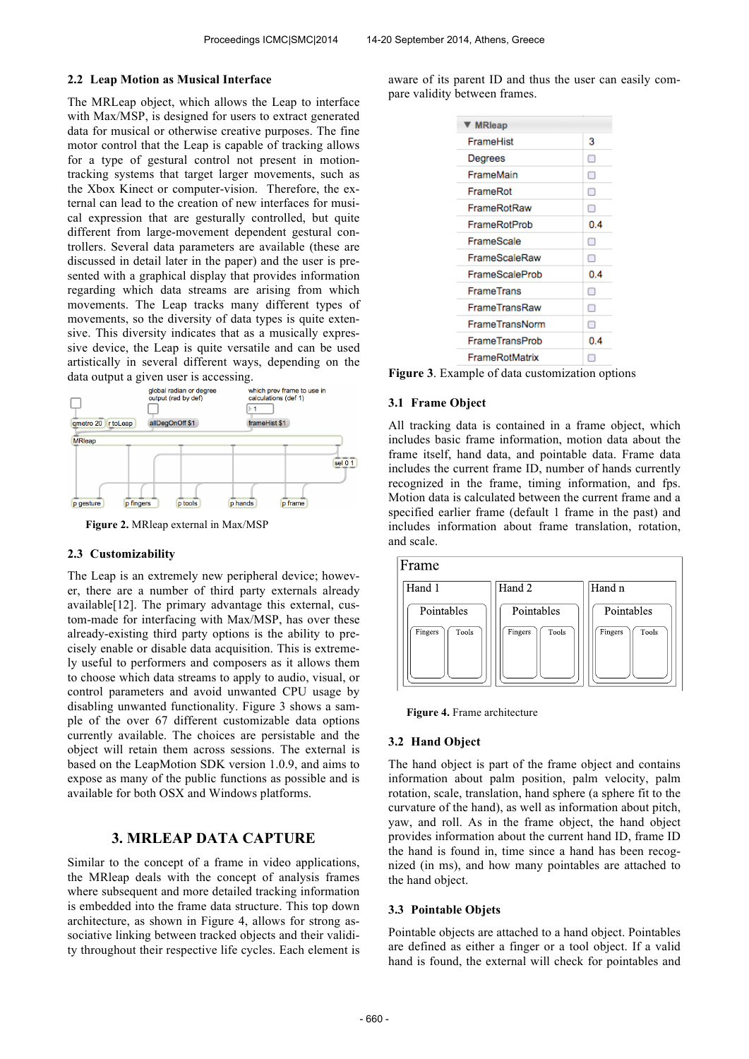### **2.2 Leap Motion as Musical Interface**

The MRLeap object, which allows the Leap to interface with Max/MSP, is designed for users to extract generated data for musical or otherwise creative purposes. The fine motor control that the Leap is capable of tracking allows for a type of gestural control not present in motiontracking systems that target larger movements, such as the Xbox Kinect or computer-vision. Therefore, the external can lead to the creation of new interfaces for musical expression that are gesturally controlled, but quite different from large-movement dependent gestural controllers. Several data parameters are available (these are discussed in detail later in the paper) and the user is presented with a graphical display that provides information regarding which data streams are arising from which movements. The Leap tracks many different types of movements, so the diversity of data types is quite extensive. This diversity indicates that as a musically expressive device, the Leap is quite versatile and can be used artistically in several different ways, depending on the



**Figure 2.** MRleap external in Max/MSP

## **2.3 Customizability**

The Leap is an extremely new peripheral device; however, there are a number of third party externals already available[12]. The primary advantage this external, custom-made for interfacing with Max/MSP, has over these already-existing third party options is the ability to precisely enable or disable data acquisition. This is extremely useful to performers and composers as it allows them to choose which data streams to apply to audio, visual, or control parameters and avoid unwanted CPU usage by disabling unwanted functionality. Figure 3 shows a sample of the over 67 different customizable data options currently available. The choices are persistable and the object will retain them across sessions. The external is based on the LeapMotion SDK version 1.0.9, and aims to expose as many of the public functions as possible and is available for both OSX and Windows platforms.

# **3. MRLEAP DATA CAPTURE**

Similar to the concept of a frame in video applications, the MRleap deals with the concept of analysis frames where subsequent and more detailed tracking information is embedded into the frame data structure. This top down architecture, as shown in Figure 4, allows for strong associative linking between tracked objects and their validity throughout their respective life cycles. Each element is aware of its parent ID and thus the user can easily compare validity between frames.

| ▼ MRleap          |     |
|-------------------|-----|
| FrameHist         | 3   |
| Degrees           | П   |
| FrameMain         | Ω   |
| FrameRot          | ⊓   |
| FrameRotRaw       | П   |
| FrameRotProb      | 0.4 |
| FrameScale        | Ω   |
| FrameScaleRaw     | П   |
| FrameScaleProb    | 0.4 |
| <b>FrameTrans</b> | П   |
| FrameTransRaw     | П   |
| FrameTransNorm    | П   |
| FrameTransProb    | 0.4 |
| FrameRotMatrix    | г   |

**Figure 3**. Example of data customization options

### **3.1 Frame Object**

All tracking data is contained in a frame object, which includes basic frame information, motion data about the frame itself, hand data, and pointable data. Frame data includes the current frame ID, number of hands currently recognized in the frame, timing information, and fps. Motion data is calculated between the current frame and a specified earlier frame (default 1 frame in the past) and includes information about frame translation, rotation, and scale.





**Figure 4.** Frame architecture

#### **3.2 Hand Object**

The hand object is part of the frame object and contains information about palm position, palm velocity, palm rotation, scale, translation, hand sphere (a sphere fit to the curvature of the hand), as well as information about pitch, yaw, and roll. As in the frame object, the hand object provides information about the current hand ID, frame ID the hand is found in, time since a hand has been recognized (in ms), and how many pointables are attached to the hand object.

#### **3.3 Pointable Objets**

Pointable objects are attached to a hand object. Pointables are defined as either a finger or a tool object. If a valid hand is found, the external will check for pointables and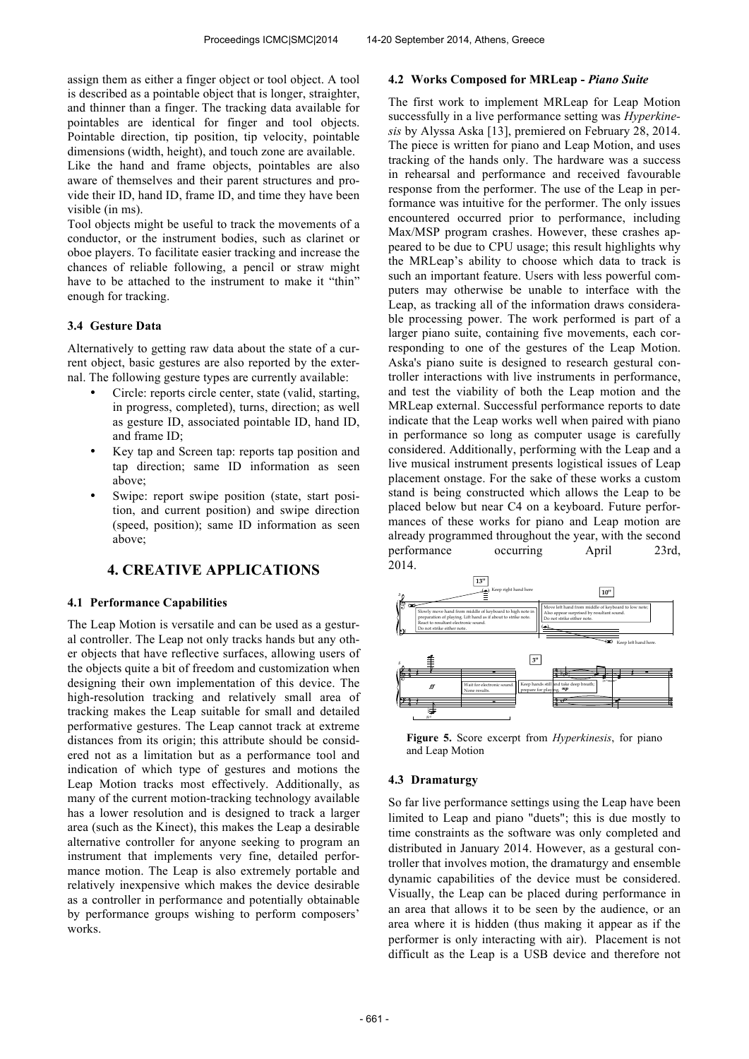assign them as either a finger object or tool object. A tool is described as a pointable object that is longer, straighter, and thinner than a finger. The tracking data available for pointables are identical for finger and tool objects. Pointable direction, tip position, tip velocity, pointable dimensions (width, height), and touch zone are available. Like the hand and frame objects, pointables are also aware of themselves and their parent structures and provide their ID, hand ID, frame ID, and time they have been visible (in ms).

Tool objects might be useful to track the movements of a conductor, or the instrument bodies, such as clarinet or oboe players. To facilitate easier tracking and increase the chances of reliable following, a pencil or straw might have to be attached to the instrument to make it "thin" enough for tracking.

## **3.4 Gesture Data**

Alternatively to getting raw data about the state of a current object, basic gestures are also reported by the external. The following gesture types are currently available:

- Circle: reports circle center, state (valid, starting, in progress, completed), turns, direction; as well as gesture ID, associated pointable ID, hand ID, and frame ID;
- Key tap and Screen tap: reports tap position and tap direction; same ID information as seen above;
- Swipe: report swipe position (state, start position, and current position) and swipe direction (speed, position); same ID information as seen above;

# **4. CREATIVE APPLICATIONS**

## **4.1 Performance Capabilities**

The Leap Motion is versatile and can be used as a gestural controller. The Leap not only tracks hands but any other objects that have reflective surfaces, allowing users of the objects quite a bit of freedom and customization when designing their own implementation of this device. The high-resolution tracking and relatively small area of tracking makes the Leap suitable for small and detailed performative gestures. The Leap cannot track at extreme distances from its origin; this attribute should be considered not as a limitation but as a performance tool and indication of which type of gestures and motions the Leap Motion tracks most effectively. Additionally, as many of the current motion-tracking technology available has a lower resolution and is designed to track a larger area (such as the Kinect), this makes the Leap a desirable alternative controller for anyone seeking to program an instrument that implements very fine, detailed performance motion. The Leap is also extremely portable and relatively inexpensive which makes the device desirable as a controller in performance and potentially obtainable by performance groups wishing to perform composers' works.

#### **4.2 Works Composed for MRLeap -** *Piano Suite*

The first work to implement MRLeap for Leap Motion successfully in a live performance setting was *Hyperkinesis* by Alyssa Aska [13], premiered on February 28, 2014. The piece is written for piano and Leap Motion, and uses tracking of the hands only. The hardware was a success in rehearsal and performance and received favourable response from the performer. The use of the Leap in performance was intuitive for the performer. The only issues encountered occurred prior to performance, including Max/MSP program crashes. However, these crashes appeared to be due to CPU usage; this result highlights why the MRLeap's ability to choose which data to track is such an important feature. Users with less powerful computers may otherwise be unable to interface with the Leap, as tracking all of the information draws considerable processing power. The work performed is part of a larger piano suite, containing five movements, each corresponding to one of the gestures of the Leap Motion. Aska's piano suite is designed to research gestural controller interactions with live instruments in performance, and test the viability of both the Leap motion and the MRLeap external. Successful performance reports to date indicate that the Leap works well when paired with piano in performance so long as computer usage is carefully considered. Additionally, performing with the Leap and a live musical instrument presents logistical issues of Leap placement onstage. For the sake of these works a custom stand is being constructed which allows the Leap to be placed below but near C4 on a keyboard. Future performances of these works for piano and Leap motion are already programmed throughout the year, with the second performance occurring April 23rd, 2014. ?



Figure 5. Score excerpt from *Hyperkinesis*, for piano and Leap Motion

## **4.3 Dramaturgy**

So far live performance settings using the Leap have been limited to Leap and piano "duets"; this is due mostly to time constraints as the software was only completed and distributed in January 2014. However, as a gestural controller that involves motion, the dramaturgy and ensemble dynamic capabilities of the device must be considered. Visually, the Leap can be placed during performance in an area that allows it to be seen by the audience, or an area where it is hidden (thus making it appear as if the performer is only interacting with air). Placement is not difficult as the Leap is a USB device and therefore not